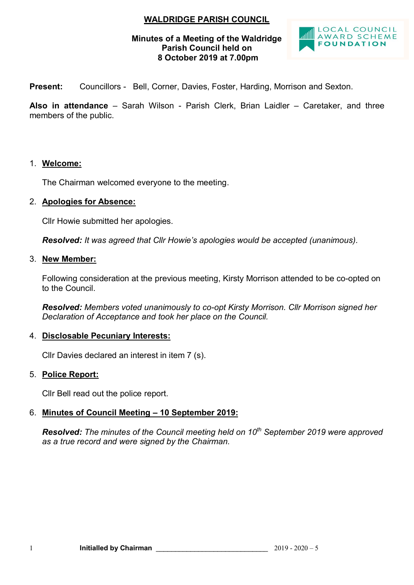# **WALDRIDGE PARISH COUNCIL**

## **Minutes of a Meeting of the Waldridge Parish Council held on 8 October 2019 at 7.00pm**



**Present:** Councillors - Bell, Corner, Davies, Foster, Harding, Morrison and Sexton.

**Also in attendance** – Sarah Wilson - Parish Clerk, Brian Laidler – Caretaker, and three members of the public.

## 1. **Welcome:**

The Chairman welcomed everyone to the meeting.

#### 2. **Apologies for Absence:**

Cllr Howie submitted her apologies.

*Resolved: It was agreed that Cllr Howie's apologies would be accepted (unanimous).*

#### 3. **New Member:**

Following consideration at the previous meeting, Kirsty Morrison attended to be co-opted on to the Council.

*Resolved: Members voted unanimously to co-opt Kirsty Morrison. Cllr Morrison signed her Declaration of Acceptance and took her place on the Council.*

## 4. **Disclosable Pecuniary Interests:**

Cllr Davies declared an interest in item 7 (s).

#### 5. **Police Report:**

Cllr Bell read out the police report.

# 6. **Minutes of Council Meeting – 10 September 2019:**

*Resolved: The minutes of the Council meeting held on 10th September 2019 were approved as a true record and were signed by the Chairman.*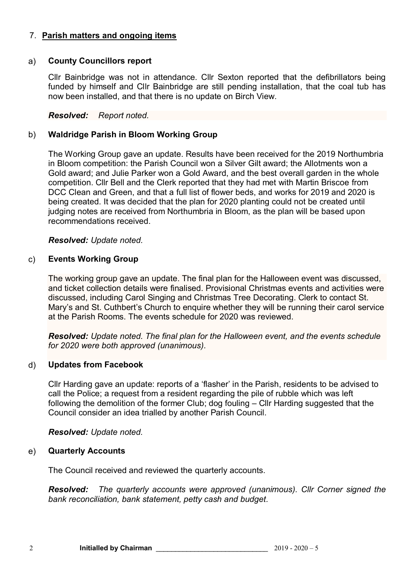# 7. **Parish matters and ongoing items**

## a) **County Councillors report**

Cllr Bainbridge was not in attendance. Cllr Sexton reported that the defibrillators being funded by himself and Cllr Bainbridge are still pending installation, that the coal tub has now been installed, and that there is no update on Birch View.

# *Resolved: Report noted.*

# b) **Waldridge Parish in Bloom Working Group**

The Working Group gave an update. Results have been received for the 2019 Northumbria in Bloom competition: the Parish Council won a Silver Gilt award; the Allotments won a Gold award; and Julie Parker won a Gold Award, and the best overall garden in the whole competition. Cllr Bell and the Clerk reported that they had met with Martin Briscoe from DCC Clean and Green, and that a full list of flower beds, and works for 2019 and 2020 is being created. It was decided that the plan for 2020 planting could not be created until judging notes are received from Northumbria in Bloom, as the plan will be based upon recommendations received.

# *Resolved: Update noted.*

# c) **Events Working Group**

The working group gave an update. The final plan for the Halloween event was discussed, and ticket collection details were finalised. Provisional Christmas events and activities were discussed, including Carol Singing and Christmas Tree Decorating. Clerk to contact St. Mary's and St. Cuthbert's Church to enquire whether they will be running their carol service at the Parish Rooms. The events schedule for 2020 was reviewed.

*Resolved: Update noted. The final plan for the Halloween event, and the events schedule for 2020 were both approved (unanimous).*

## d) **Updates from Facebook**

Cllr Harding gave an update: reports of a 'flasher' in the Parish, residents to be advised to call the Police; a request from a resident regarding the pile of rubble which was left following the demolition of the former Club; dog fouling – Cllr Harding suggested that the Council consider an idea trialled by another Parish Council.

## *Resolved: Update noted.*

## e) **Quarterly Accounts**

The Council received and reviewed the quarterly accounts.

*Resolved: The quarterly accounts were approved (unanimous). Cllr Corner signed the bank reconciliation, bank statement, petty cash and budget.*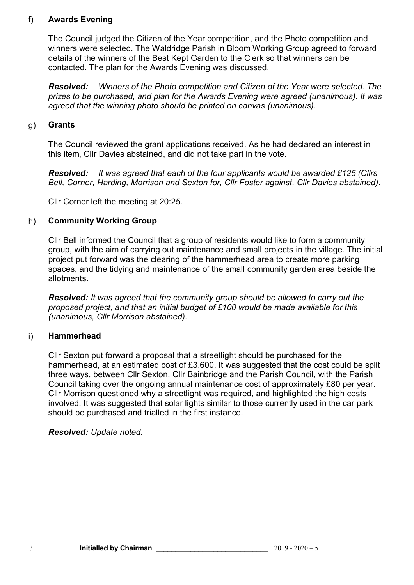# f) **Awards Evening**

The Council judged the Citizen of the Year competition, and the Photo competition and winners were selected. The Waldridge Parish in Bloom Working Group agreed to forward details of the winners of the Best Kept Garden to the Clerk so that winners can be contacted. The plan for the Awards Evening was discussed.

*Resolved: Winners of the Photo competition and Citizen of the Year were selected. The prizes to be purchased, and plan for the Awards Evening were agreed (unanimous). It was agreed that the winning photo should be printed on canvas (unanimous).*

# g) **Grants**

The Council reviewed the grant applications received. As he had declared an interest in this item, Cllr Davies abstained, and did not take part in the vote.

*Resolved: It was agreed that each of the four applicants would be awarded £125 (Cllrs Bell, Corner, Harding, Morrison and Sexton for, Cllr Foster against, Cllr Davies abstained).*

Cllr Corner left the meeting at 20:25.

# h) **Community Working Group**

Cllr Bell informed the Council that a group of residents would like to form a community group, with the aim of carrying out maintenance and small projects in the village. The initial project put forward was the clearing of the hammerhead area to create more parking spaces, and the tidying and maintenance of the small community garden area beside the allotments.

*Resolved: It was agreed that the community group should be allowed to carry out the proposed project, and that an initial budget of £100 would be made available for this (unanimous, Cllr Morrison abstained).*

# i) **Hammerhead**

Cllr Sexton put forward a proposal that a streetlight should be purchased for the hammerhead, at an estimated cost of £3,600. It was suggested that the cost could be split three ways, between Cllr Sexton, Cllr Bainbridge and the Parish Council, with the Parish Council taking over the ongoing annual maintenance cost of approximately £80 per year. Cllr Morrison questioned why a streetlight was required, and highlighted the high costs involved. It was suggested that solar lights similar to those currently used in the car park should be purchased and trialled in the first instance.

## *Resolved: Update noted.*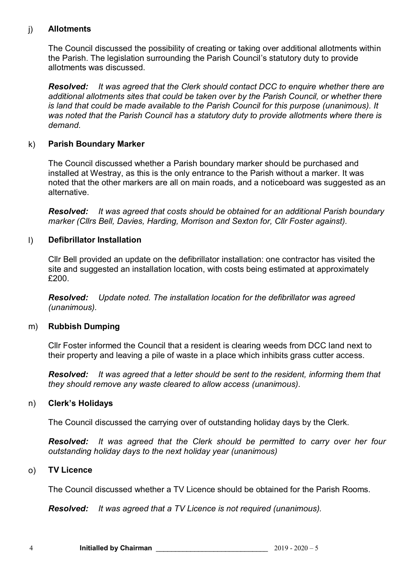# j) **Allotments**

The Council discussed the possibility of creating or taking over additional allotments within the Parish. The legislation surrounding the Parish Council's statutory duty to provide allotments was discussed.

*Resolved: It was agreed that the Clerk should contact DCC to enquire whether there are additional allotments sites that could be taken over by the Parish Council, or whether there is land that could be made available to the Parish Council for this purpose (unanimous). It was noted that the Parish Council has a statutory duty to provide allotments where there is demand.*

# k) **Parish Boundary Marker**

The Council discussed whether a Parish boundary marker should be purchased and installed at Westray, as this is the only entrance to the Parish without a marker. It was noted that the other markers are all on main roads, and a noticeboard was suggested as an alternative.

*Resolved: It was agreed that costs should be obtained for an additional Parish boundary marker (Cllrs Bell, Davies, Harding, Morrison and Sexton for, Cllr Foster against).*

# l) **Defibrillator Installation**

Cllr Bell provided an update on the defibrillator installation: one contractor has visited the site and suggested an installation location, with costs being estimated at approximately £200.

*Resolved: Update noted. The installation location for the defibrillator was agreed (unanimous).*

## m) **Rubbish Dumping**

Cllr Foster informed the Council that a resident is clearing weeds from DCC land next to their property and leaving a pile of waste in a place which inhibits grass cutter access.

*Resolved: It was agreed that a letter should be sent to the resident, informing them that they should remove any waste cleared to allow access (unanimous).*

## n) **Clerk's Holidays**

The Council discussed the carrying over of outstanding holiday days by the Clerk.

*Resolved: It was agreed that the Clerk should be permitted to carry over her four outstanding holiday days to the next holiday year (unanimous)*

## o) **TV Licence**

The Council discussed whether a TV Licence should be obtained for the Parish Rooms.

*Resolved: It was agreed that a TV Licence is not required (unanimous).*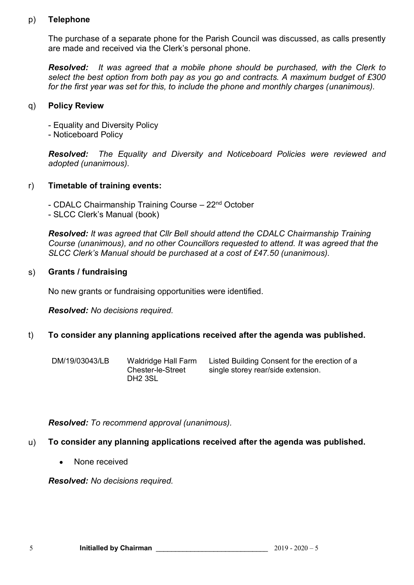## p) **Telephone**

The purchase of a separate phone for the Parish Council was discussed, as calls presently are made and received via the Clerk's personal phone.

*Resolved: It was agreed that a mobile phone should be purchased, with the Clerk to select the best option from both pay as you go and contracts. A maximum budget of £300 for the first year was set for this, to include the phone and monthly charges (unanimous).*

# q) **Policy Review**

- Equality and Diversity Policy
- Noticeboard Policy

*Resolved: The Equality and Diversity and Noticeboard Policies were reviewed and adopted (unanimous).*

# r) **Timetable of training events:**

- CDALC Chairmanship Training Course 22<sup>nd</sup> October
- SLCC Clerk's Manual (book)

*Resolved: It was agreed that Cllr Bell should attend the CDALC Chairmanship Training Course (unanimous), and no other Councillors requested to attend. It was agreed that the SLCC Clerk's Manual should be purchased at a cost of £47.50 (unanimous).*

# s) **Grants / fundraising**

No new grants or fundraising opportunities were identified.

*Resolved: No decisions required.*

# t) **To consider any planning applications received after the agenda was published.**

- 
- DM/19/03043/LB Waldridge Hall Farm Chester-le-Street DH2 3SL

Listed Building Consent for the erection of a single storey rear/side extension.

*Resolved: To recommend approval (unanimous).*

# u) **To consider any planning applications received after the agenda was published.**

None received

*Resolved: No decisions required.*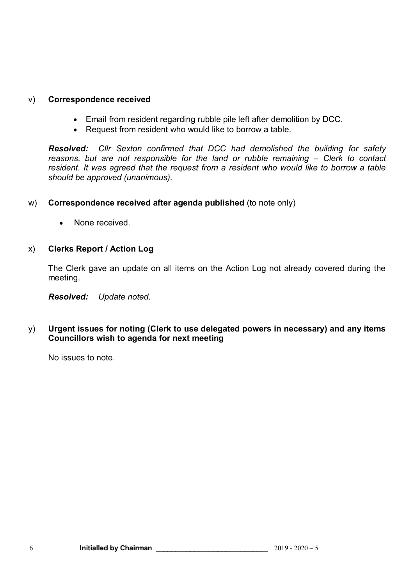# v) **Correspondence received**

- Email from resident regarding rubble pile left after demolition by DCC.
- Request from resident who would like to borrow a table.

*Resolved: Cllr Sexton confirmed that DCC had demolished the building for safety reasons, but are not responsible for the land or rubble remaining – Clerk to contact resident. It was agreed that the request from a resident who would like to borrow a table should be approved (unanimous).*

- w) **Correspondence received after agenda published** (to note only)
	- None received.  $\bullet$

## x) **Clerks Report / Action Log**

The Clerk gave an update on all items on the Action Log not already covered during the meeting.

*Resolved: Update noted.*

# y) **Urgent issues for noting (Clerk to use delegated powers in necessary) and any items Councillors wish to agenda for next meeting**

No issues to note.